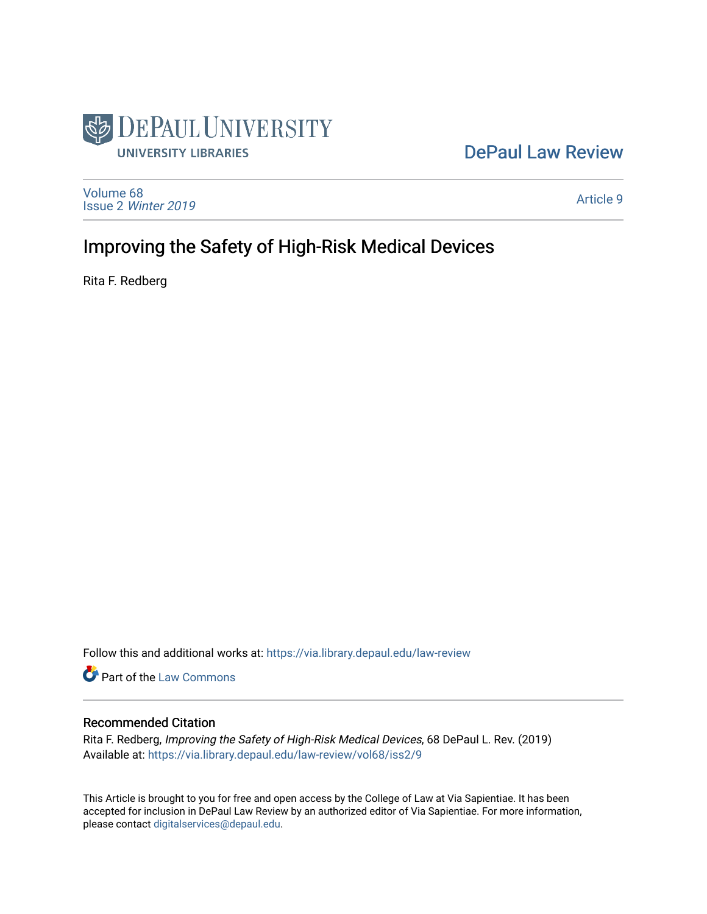

## [DePaul Law Review](https://via.library.depaul.edu/law-review)

[Volume 68](https://via.library.depaul.edu/law-review/vol68) Issue 2 [Winter 2019](https://via.library.depaul.edu/law-review/vol68/iss2) 

[Article 9](https://via.library.depaul.edu/law-review/vol68/iss2/9) 

## Improving the Safety of High-Risk Medical Devices

Rita F. Redberg

Follow this and additional works at: [https://via.library.depaul.edu/law-review](https://via.library.depaul.edu/law-review?utm_source=via.library.depaul.edu%2Flaw-review%2Fvol68%2Fiss2%2F9&utm_medium=PDF&utm_campaign=PDFCoverPages) 

Part of the [Law Commons](http://network.bepress.com/hgg/discipline/578?utm_source=via.library.depaul.edu%2Flaw-review%2Fvol68%2Fiss2%2F9&utm_medium=PDF&utm_campaign=PDFCoverPages)

## Recommended Citation

Rita F. Redberg, Improving the Safety of High-Risk Medical Devices, 68 DePaul L. Rev. (2019) Available at: [https://via.library.depaul.edu/law-review/vol68/iss2/9](https://via.library.depaul.edu/law-review/vol68/iss2/9?utm_source=via.library.depaul.edu%2Flaw-review%2Fvol68%2Fiss2%2F9&utm_medium=PDF&utm_campaign=PDFCoverPages) 

This Article is brought to you for free and open access by the College of Law at Via Sapientiae. It has been accepted for inclusion in DePaul Law Review by an authorized editor of Via Sapientiae. For more information, please contact [digitalservices@depaul.edu.](mailto:digitalservices@depaul.edu)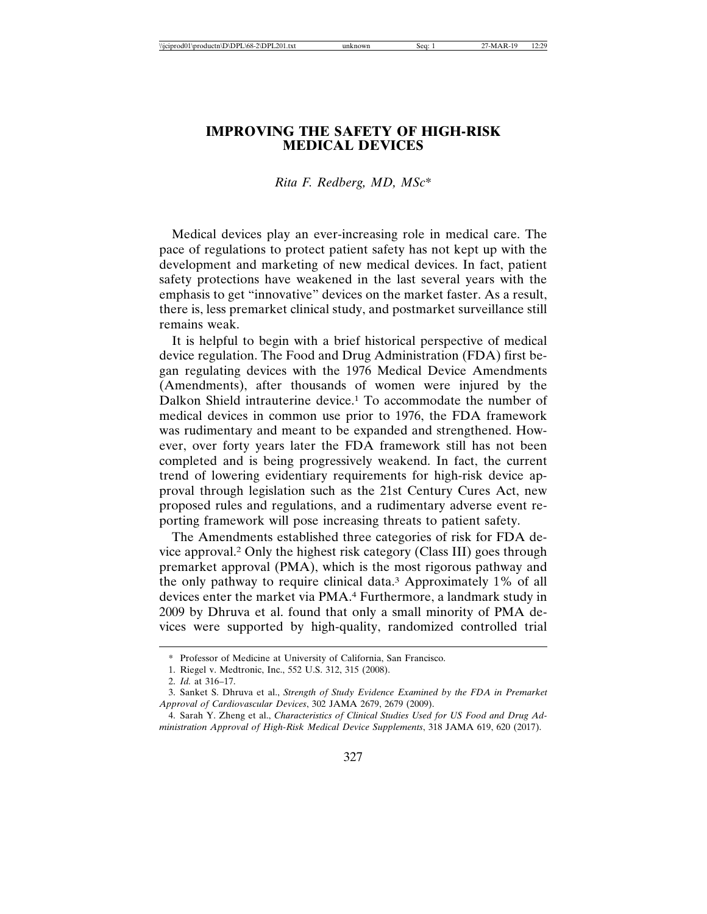## **IMPROVING THE SAFETY OF HIGH-RISK MEDICAL DEVICES**

*Rita F. Redberg, MD, MSc*\*

Medical devices play an ever-increasing role in medical care. The pace of regulations to protect patient safety has not kept up with the development and marketing of new medical devices. In fact, patient safety protections have weakened in the last several years with the emphasis to get "innovative" devices on the market faster. As a result, there is, less premarket clinical study, and postmarket surveillance still remains weak.

It is helpful to begin with a brief historical perspective of medical device regulation. The Food and Drug Administration (FDA) first began regulating devices with the 1976 Medical Device Amendments (Amendments), after thousands of women were injured by the Dalkon Shield intrauterine device.1 To accommodate the number of medical devices in common use prior to 1976, the FDA framework was rudimentary and meant to be expanded and strengthened. However, over forty years later the FDA framework still has not been completed and is being progressively weakend. In fact, the current trend of lowering evidentiary requirements for high-risk device approval through legislation such as the 21st Century Cures Act, new proposed rules and regulations, and a rudimentary adverse event reporting framework will pose increasing threats to patient safety.

The Amendments established three categories of risk for FDA device approval.2 Only the highest risk category (Class III) goes through premarket approval (PMA), which is the most rigorous pathway and the only pathway to require clinical data.3 Approximately 1% of all devices enter the market via PMA.4 Furthermore, a landmark study in 2009 by Dhruva et al. found that only a small minority of PMA devices were supported by high-quality, randomized controlled trial

<sup>\*</sup> Professor of Medicine at University of California, San Francisco.

<sup>1.</sup> Riegel v. Medtronic, Inc., 552 U.S. 312, 315 (2008).

<sup>2.</sup> *Id.* at 316–17.

<sup>3.</sup> Sanket S. Dhruva et al., *Strength of Study Evidence Examined by the FDA in Premarket Approval of Cardiovascular Devices*, 302 JAMA 2679, 2679 (2009).

<sup>4.</sup> Sarah Y. Zheng et al., *Characteristics of Clinical Studies Used for US Food and Drug Administration Approval of High-Risk Medical Device Supplements*, 318 JAMA 619, 620 (2017).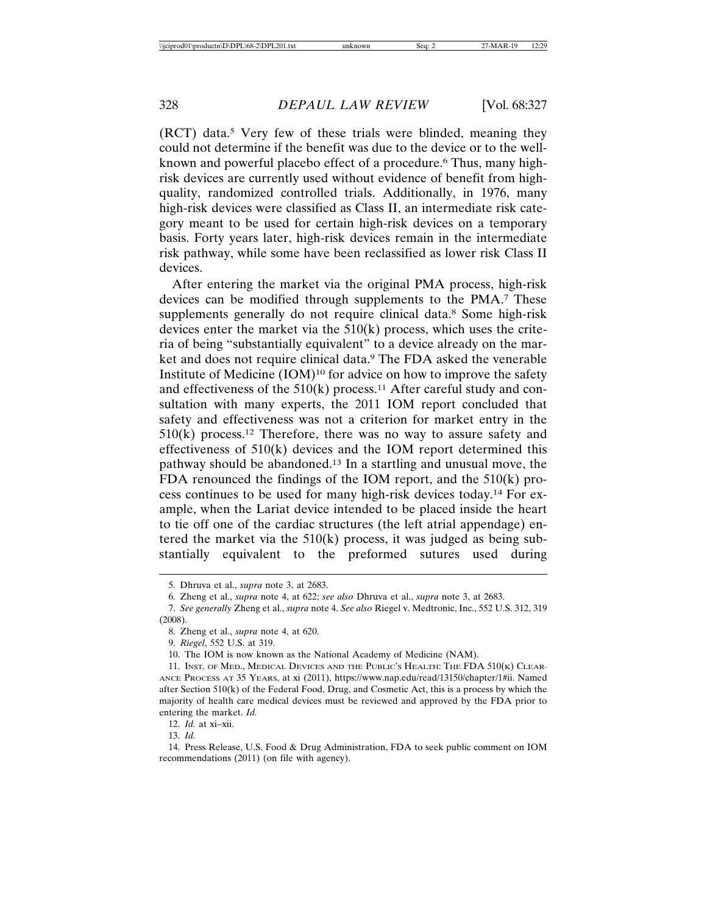(RCT) data.5 Very few of these trials were blinded, meaning they could not determine if the benefit was due to the device or to the wellknown and powerful placebo effect of a procedure.<sup>6</sup> Thus, many highrisk devices are currently used without evidence of benefit from highquality, randomized controlled trials. Additionally, in 1976, many high-risk devices were classified as Class II, an intermediate risk category meant to be used for certain high-risk devices on a temporary basis. Forty years later, high-risk devices remain in the intermediate risk pathway, while some have been reclassified as lower risk Class II devices.

After entering the market via the original PMA process, high-risk devices can be modified through supplements to the PMA.7 These supplements generally do not require clinical data.<sup>8</sup> Some high-risk devices enter the market via the  $510(k)$  process, which uses the criteria of being "substantially equivalent" to a device already on the market and does not require clinical data.<sup>9</sup> The FDA asked the venerable Institute of Medicine (IOM)10 for advice on how to improve the safety and effectiveness of the  $510(k)$  process.<sup>11</sup> After careful study and consultation with many experts, the 2011 IOM report concluded that safety and effectiveness was not a criterion for market entry in the  $510(k)$  process.<sup>12</sup> Therefore, there was no way to assure safety and effectiveness of 510(k) devices and the IOM report determined this pathway should be abandoned.13 In a startling and unusual move, the FDA renounced the findings of the IOM report, and the 510(k) process continues to be used for many high-risk devices today.14 For example, when the Lariat device intended to be placed inside the heart to tie off one of the cardiac structures (the left atrial appendage) entered the market via the  $510(k)$  process, it was judged as being substantially equivalent to the preformed sutures used during

13. *Id.*

<sup>5.</sup> Dhruva et al., *supra* note 3, at 2683.

<sup>6.</sup> Zheng et al., *supra* note 4, at 622; *see also* Dhruva et al., *supra* note 3, at 2683.

<sup>7.</sup> *See generally* Zheng et al., *supra* note 4. *See also* Riegel v. Medtronic, Inc., 552 U.S. 312, 319

<sup>(2008).</sup>

<sup>8.</sup> Zheng et al., *supra* note 4, at 620.

<sup>9.</sup> *Riegel*, 552 U.S. at 319.

<sup>10.</sup> The IOM is now known as the National Academy of Medicine (NAM).

<sup>11.</sup> INST. OF MED., MEDICAL DEVICES AND THE PUBLIC'S HEALTH: THE FDA 510(K) CLEAR-ANCE PROCESS AT 35 YEARS, at xi (2011), https://www.nap.edu/read/13150/chapter/1#ii. Named after Section 510(k) of the Federal Food, Drug, and Cosmetic Act, this is a process by which the majority of health care medical devices must be reviewed and approved by the FDA prior to entering the market. *Id.*

<sup>12.</sup> *Id.* at xi–xii.

<sup>14.</sup> Press Release, U.S. Food & Drug Administration, FDA to seek public comment on IOM recommendations (2011) (on file with agency).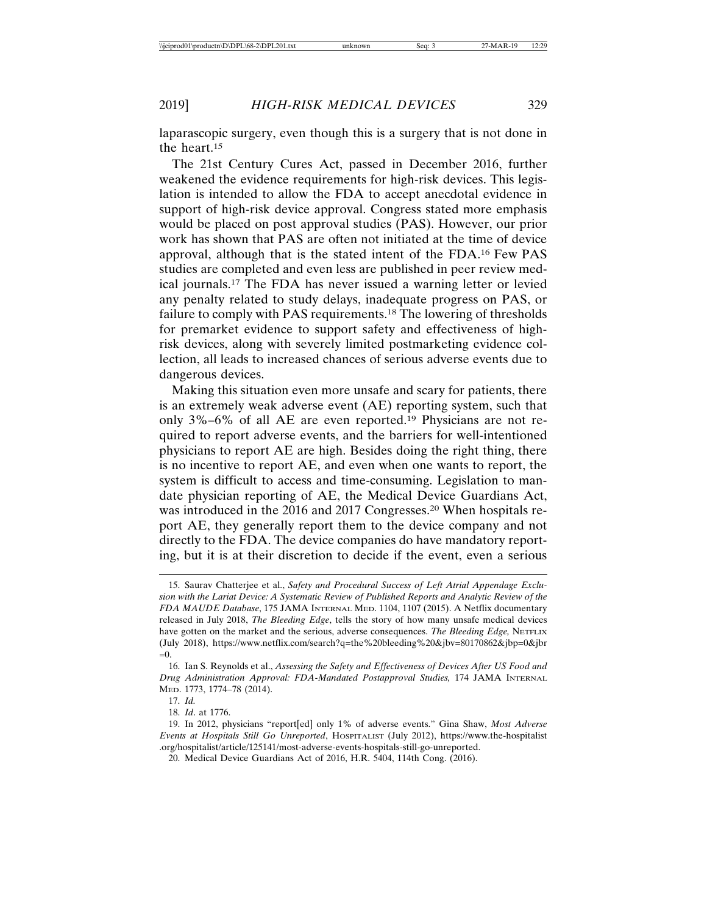laparascopic surgery, even though this is a surgery that is not done in the heart.15

The 21st Century Cures Act, passed in December 2016, further weakened the evidence requirements for high-risk devices. This legislation is intended to allow the FDA to accept anecdotal evidence in support of high-risk device approval. Congress stated more emphasis would be placed on post approval studies (PAS). However, our prior work has shown that PAS are often not initiated at the time of device approval, although that is the stated intent of the FDA.16 Few PAS studies are completed and even less are published in peer review medical journals.17 The FDA has never issued a warning letter or levied any penalty related to study delays, inadequate progress on PAS, or failure to comply with PAS requirements.18 The lowering of thresholds for premarket evidence to support safety and effectiveness of highrisk devices, along with severely limited postmarketing evidence collection, all leads to increased chances of serious adverse events due to dangerous devices.

Making this situation even more unsafe and scary for patients, there is an extremely weak adverse event (AE) reporting system, such that only 3%–6% of all AE are even reported.19 Physicians are not required to report adverse events, and the barriers for well-intentioned physicians to report AE are high. Besides doing the right thing, there is no incentive to report AE, and even when one wants to report, the system is difficult to access and time-consuming. Legislation to mandate physician reporting of AE, the Medical Device Guardians Act, was introduced in the 2016 and 2017 Congresses.<sup>20</sup> When hospitals report AE, they generally report them to the device company and not directly to the FDA. The device companies do have mandatory reporting, but it is at their discretion to decide if the event, even a serious

<sup>15.</sup> Saurav Chatterjee et al., *Safety and Procedural Success of Left Atrial Appendage Exclusion with the Lariat Device: A Systematic Review of Published Reports and Analytic Review of the FDA MAUDE Database*, 175 JAMA INTERNAL MED. 1104, 1107 (2015). A Netflix documentary released in July 2018, *The Bleeding Edge*, tells the story of how many unsafe medical devices have gotten on the market and the serious, adverse consequences. The Bleeding Edge, NETFLIX (July 2018), https://www.netflix.com/search?q=the%20bleeding%20&jbv=80170862&jbp=0&jbr  $=0.$ 

<sup>16.</sup> Ian S. Reynolds et al., *Assessing the Safety and Effectiveness of Devices After US Food and Drug Administration Approval: FDA-Mandated Postapproval Studies,* 174 JAMA INTERNAL MED. 1773, 1774–78 (2014).

<sup>17.</sup> *Id.*

<sup>18.</sup> *Id*. at 1776.

<sup>19.</sup> In 2012, physicians "report[ed] only 1% of adverse events." Gina Shaw, *Most Adverse Events at Hospitals Still Go Unreported*, HOSPITALIST (July 2012), https://www.the-hospitalist .org/hospitalist/article/125141/most-adverse-events-hospitals-still-go-unreported.

<sup>20.</sup> Medical Device Guardians Act of 2016, H.R. 5404, 114th Cong. (2016).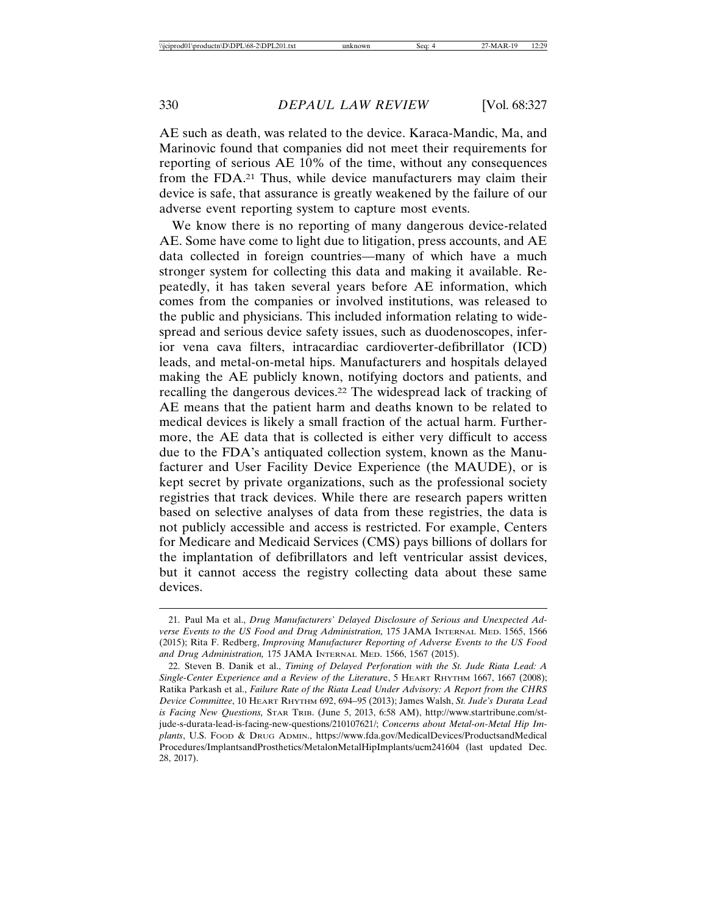AE such as death, was related to the device. Karaca-Mandic, Ma, and Marinovic found that companies did not meet their requirements for reporting of serious AE 10% of the time, without any consequences from the FDA.21 Thus, while device manufacturers may claim their device is safe, that assurance is greatly weakened by the failure of our adverse event reporting system to capture most events.

We know there is no reporting of many dangerous device-related AE. Some have come to light due to litigation, press accounts, and AE data collected in foreign countries—many of which have a much stronger system for collecting this data and making it available. Repeatedly, it has taken several years before AE information, which comes from the companies or involved institutions, was released to the public and physicians. This included information relating to widespread and serious device safety issues, such as duodenoscopes, inferior vena cava filters, intracardiac cardioverter-defibrillator (ICD) leads, and metal-on-metal hips. Manufacturers and hospitals delayed making the AE publicly known, notifying doctors and patients, and recalling the dangerous devices.22 The widespread lack of tracking of AE means that the patient harm and deaths known to be related to medical devices is likely a small fraction of the actual harm. Furthermore, the AE data that is collected is either very difficult to access due to the FDA's antiquated collection system, known as the Manufacturer and User Facility Device Experience (the MAUDE), or is kept secret by private organizations, such as the professional society registries that track devices. While there are research papers written based on selective analyses of data from these registries, the data is not publicly accessible and access is restricted. For example, Centers for Medicare and Medicaid Services (CMS) pays billions of dollars for the implantation of defibrillators and left ventricular assist devices, but it cannot access the registry collecting data about these same devices.

<sup>21.</sup> Paul Ma et al., *Drug Manufacturers' Delayed Disclosure of Serious and Unexpected Adverse Events to the US Food and Drug Administration,* 175 JAMA INTERNAL MED. 1565, 1566 (2015); Rita F. Redberg, *Improving Manufacturer Reporting of Adverse Events to the US Food and Drug Administration,* 175 JAMA INTERNAL MED. 1566, 1567 (2015).

<sup>22.</sup> Steven B. Danik et al., *Timing of Delayed Perforation with the St. Jude Riata Lead: A Single-Center Experience and a Review of the Literatur*e, 5 HEART RHYTHM 1667, 1667 (2008); Ratika Parkash et al., *Failure Rate of the Riata Lead Under Advisory: A Report from the CHRS Device Committee*, 10 HEART RHYTHM 692, 694–95 (2013); James Walsh, *St. Jude's Durata Lead is Facing New Questions,* STAR TRIB. (June 5, 2013, 6:58 AM), http://www.startribune.com/stjude-s-durata-lead-is-facing-new-questions/210107621/; *Concerns about Metal-on-Metal Hip Im*plants, U.S. Food & DRUG ADMIN., https://www.fda.gov/MedicalDevices/ProductsandMedical Procedures/ImplantsandProsthetics/MetalonMetalHipImplants/ucm241604 (last updated Dec. 28, 2017).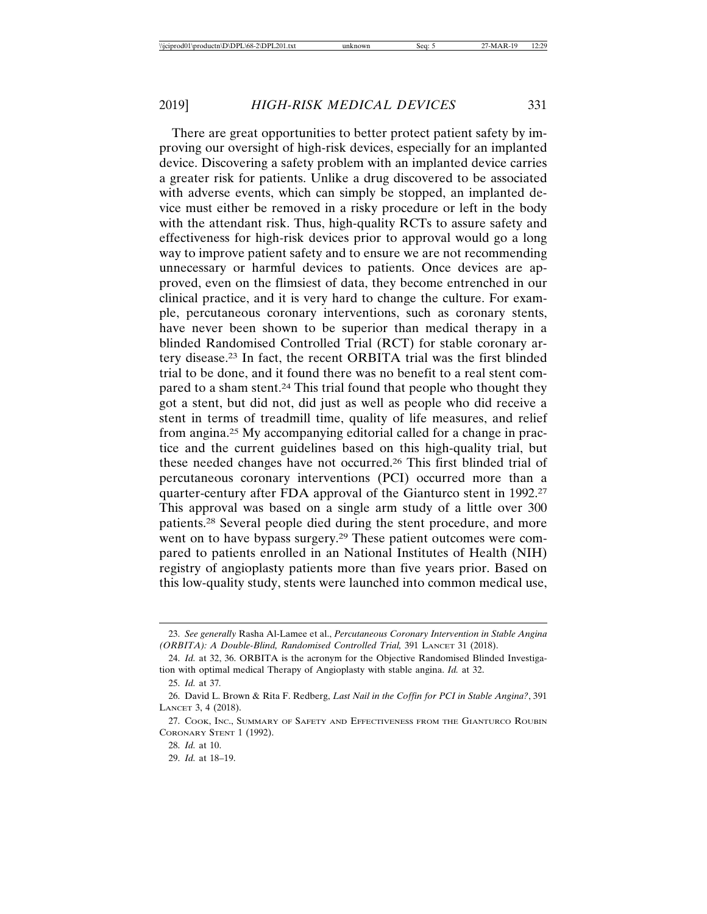There are great opportunities to better protect patient safety by improving our oversight of high-risk devices, especially for an implanted device. Discovering a safety problem with an implanted device carries a greater risk for patients. Unlike a drug discovered to be associated with adverse events, which can simply be stopped, an implanted device must either be removed in a risky procedure or left in the body with the attendant risk. Thus, high-quality RCTs to assure safety and effectiveness for high-risk devices prior to approval would go a long way to improve patient safety and to ensure we are not recommending unnecessary or harmful devices to patients. Once devices are approved, even on the flimsiest of data, they become entrenched in our clinical practice, and it is very hard to change the culture. For example, percutaneous coronary interventions, such as coronary stents, have never been shown to be superior than medical therapy in a blinded Randomised Controlled Trial (RCT) for stable coronary artery disease.23 In fact, the recent ORBITA trial was the first blinded trial to be done, and it found there was no benefit to a real stent compared to a sham stent.<sup>24</sup> This trial found that people who thought they got a stent, but did not, did just as well as people who did receive a stent in terms of treadmill time, quality of life measures, and relief from angina.25 My accompanying editorial called for a change in practice and the current guidelines based on this high-quality trial, but these needed changes have not occurred.26 This first blinded trial of percutaneous coronary interventions (PCI) occurred more than a quarter-century after FDA approval of the Gianturco stent in 1992.27 This approval was based on a single arm study of a little over 300 patients.28 Several people died during the stent procedure, and more went on to have bypass surgery.29 These patient outcomes were compared to patients enrolled in an National Institutes of Health (NIH) registry of angioplasty patients more than five years prior. Based on this low-quality study, stents were launched into common medical use,

<sup>23.</sup> *See generally* Rasha Al-Lamee et al., *Percutaneous Coronary Intervention in Stable Angina (ORBITA): A Double-Blind, Randomised Controlled Trial,* 391 LANCET 31 (2018).

<sup>24.</sup> *Id.* at 32, 36. ORBITA is the acronym for the Objective Randomised Blinded Investigation with optimal medical Therapy of Angioplasty with stable angina. *Id.* at 32.

<sup>25.</sup> *Id.* at 37*.*

<sup>26.</sup> David L. Brown & Rita F. Redberg, *Last Nail in the Coffin for PCI in Stable Angina?*, 391 LANCET 3, 4 (2018).

<sup>27.</sup> COOK, INC., SUMMARY OF SAFETY AND EFFECTIVENESS FROM THE GIANTURCO ROUBIN CORONARY STENT 1 (1992).

<sup>28.</sup> *Id.* at 10.

<sup>29.</sup> *Id.* at 18–19.